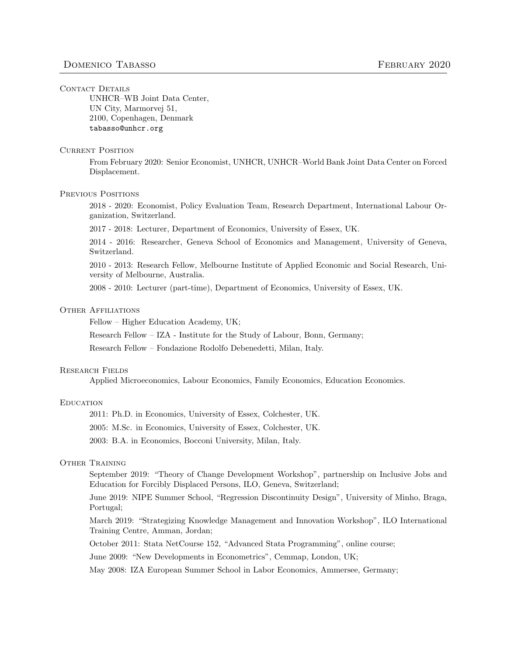### CONTACT DETAILS

UNHCR–WB Joint Data Center, UN City, Marmorvej 51, 2100, Copenhagen, Denmark tabasso@unhcr.org

### **CURRENT POSITION**

From February 2020: Senior Economist, UNHCR, UNHCR–World Bank Joint Data Center on Forced Displacement.

# PREVIOUS POSITIONS

2018 - 2020: Economist, Policy Evaluation Team, Research Department, International Labour Organization, Switzerland.

2017 - 2018: Lecturer, Department of Economics, University of Essex, UK.

2014 - 2016: Researcher, Geneva School of Economics and Management, University of Geneva, Switzerland.

2010 - 2013: Research Fellow, Melbourne Institute of Applied Economic and Social Research, University of Melbourne, Australia.

2008 - 2010: Lecturer (part-time), Department of Economics, University of Essex, UK.

### Other Affiliations

Fellow – Higher Education Academy, UK;

Research Fellow – IZA - Institute for the Study of Labour, Bonn, Germany;

Research Fellow – Fondazione Rodolfo Debenedetti, Milan, Italy.

### Research Fields

Applied Microeconomics, Labour Economics, Family Economics, Education Economics.

### **EDUCATION**

2011: Ph.D. in Economics, University of Essex, Colchester, UK.

2005: M.Sc. in Economics, University of Essex, Colchester, UK.

2003: B.A. in Economics, Bocconi University, Milan, Italy.

# Other Training

September 2019: "Theory of Change Development Workshop", partnership on Inclusive Jobs and Education for Forcibly Displaced Persons, ILO, Geneva, Switzerland;

June 2019: NIPE Summer School, "Regression Discontinuity Design", University of Minho, Braga, Portugal;

March 2019: "Strategizing Knowledge Management and Innovation Workshop", ILO International Training Centre, Amman, Jordan;

October 2011: Stata NetCourse 152, "Advanced Stata Programming", online course;

June 2009: "New Developments in Econometrics", Cemmap, London, UK;

May 2008: IZA European Summer School in Labor Economics, Ammersee, Germany;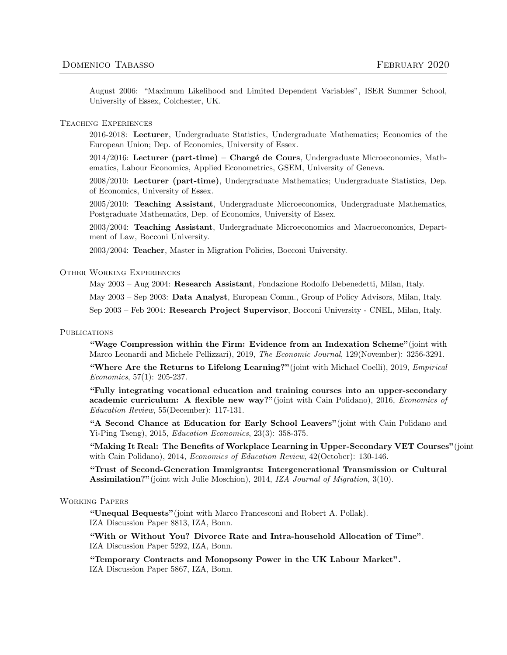August 2006: "Maximum Likelihood and Limited Dependent Variables", ISER Summer School, University of Essex, Colchester, UK.

# Teaching Experiences

2016-2018: Lecturer, Undergraduate Statistics, Undergraduate Mathematics; Economics of the European Union; Dep. of Economics, University of Essex.

 $2014/2016$ : Lecturer (part-time) – Chargé de Cours, Undergraduate Microeconomics, Mathematics, Labour Economics, Applied Econometrics, GSEM, University of Geneva.

2008/2010: Lecturer (part-time), Undergraduate Mathematics; Undergraduate Statistics, Dep. of Economics, University of Essex.

2005/2010: Teaching Assistant, Undergraduate Microeconomics, Undergraduate Mathematics, Postgraduate Mathematics, Dep. of Economics, University of Essex.

2003/2004: Teaching Assistant, Undergraduate Microeconomics and Macroeconomics, Department of Law, Bocconi University.

2003/2004: Teacher, Master in Migration Policies, Bocconi University.

# Other Working Experiences

May 2003 – Aug 2004: Research Assistant, Fondazione Rodolfo Debenedetti, Milan, Italy.

May 2003 – Sep 2003: Data Analyst, European Comm., Group of Policy Advisors, Milan, Italy.

Sep 2003 – Feb 2004: Research Project Supervisor, Bocconi University - CNEL, Milan, Italy.

# **PUBLICATIONS**

"Wage Compression within the Firm: Evidence from an Indexation Scheme"(joint with Marco Leonardi and Michele Pellizzari), 2019, The Economic Journal, 129(November): 3256-3291.

"Where Are the Returns to Lifelong Learning?"(joint with Michael Coelli), 2019, Empirical Economics, 57(1): 205-237.

"Fully integrating vocational education and training courses into an upper-secondary academic curriculum: A flexible new way?"(joint with Cain Polidano), 2016, *Economics of* Education Review, 55(December): 117-131.

"A Second Chance at Education for Early School Leavers"(joint with Cain Polidano and Yi-Ping Tseng), 2015, Education Economics, 23(3): 358-375.

"Making It Real: The Benefits of Workplace Learning in Upper-Secondary VET Courses"(joint with Cain Polidano), 2014, *Economics of Education Review*, 42(October): 130-146.

"Trust of Second-Generation Immigrants: Intergenerational Transmission or Cultural Assimilation?"(joint with Julie Moschion), 2014, IZA Journal of Migration, 3(10).

## Working Papers

"Unequal Bequests"(joint with Marco Francesconi and Robert A. Pollak). IZA Discussion Paper 8813, IZA, Bonn.

"With or Without You? Divorce Rate and Intra-household Allocation of Time". IZA Discussion Paper 5292, IZA, Bonn.

"Temporary Contracts and Monopsony Power in the UK Labour Market". IZA Discussion Paper 5867, IZA, Bonn.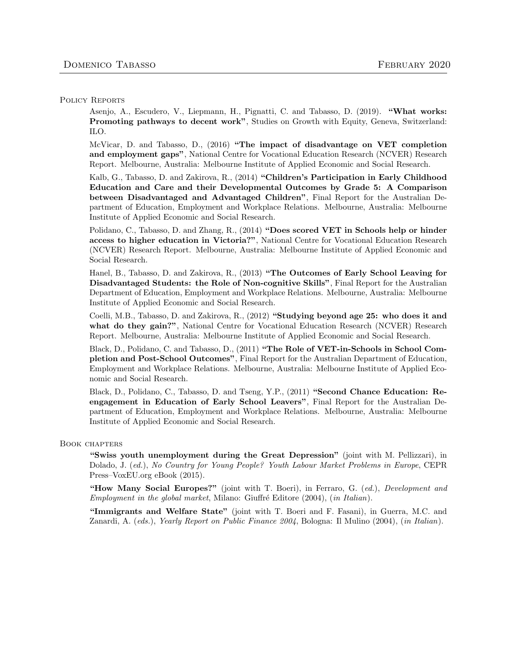# POLICY REPORTS

Asenjo, A., Escudero, V., Liepmann, H., Pignatti, C. and Tabasso, D. (2019). "What works: Promoting pathways to decent work", Studies on Growth with Equity, Geneva, Switzerland: ILO.

McVicar, D. and Tabasso, D., (2016) "The impact of disadvantage on VET completion and employment gaps", National Centre for Vocational Education Research (NCVER) Research Report. Melbourne, Australia: Melbourne Institute of Applied Economic and Social Research.

Kalb, G., Tabasso, D. and Zakirova, R., (2014) "Children's Participation in Early Childhood Education and Care and their Developmental Outcomes by Grade 5: A Comparison between Disadvantaged and Advantaged Children", Final Report for the Australian Department of Education, Employment and Workplace Relations. Melbourne, Australia: Melbourne Institute of Applied Economic and Social Research.

Polidano, C., Tabasso, D. and Zhang, R., (2014) "Does scored VET in Schools help or hinder access to higher education in Victoria?", National Centre for Vocational Education Research (NCVER) Research Report. Melbourne, Australia: Melbourne Institute of Applied Economic and Social Research.

Hanel, B., Tabasso, D. and Zakirova, R., (2013) "The Outcomes of Early School Leaving for Disadvantaged Students: the Role of Non-cognitive Skills", Final Report for the Australian Department of Education, Employment and Workplace Relations. Melbourne, Australia: Melbourne Institute of Applied Economic and Social Research.

Coelli, M.B., Tabasso, D. and Zakirova, R., (2012) "Studying beyond age 25: who does it and what do they gain?", National Centre for Vocational Education Research (NCVER) Research Report. Melbourne, Australia: Melbourne Institute of Applied Economic and Social Research.

Black, D., Polidano, C. and Tabasso, D., (2011) "The Role of VET-in-Schools in School Completion and Post-School Outcomes", Final Report for the Australian Department of Education, Employment and Workplace Relations. Melbourne, Australia: Melbourne Institute of Applied Economic and Social Research.

Black, D., Polidano, C., Tabasso, D. and Tseng, Y.P., (2011) "Second Chance Education: Reengagement in Education of Early School Leavers", Final Report for the Australian Department of Education, Employment and Workplace Relations. Melbourne, Australia: Melbourne Institute of Applied Economic and Social Research.

# Book chapters

"Swiss youth unemployment during the Great Depression" (joint with M. Pellizzari), in Dolado, J. (ed.), No Country for Young People? Youth Labour Market Problems in Europe, CEPR Press–VoxEU.org eBook (2015).

"How Many Social Europes?" (joint with T. Boeri), in Ferraro, G. (ed.), Development and Employment in the global market, Milano: Giuffré Editore (2004), (in Italian).

"Immigrants and Welfare State" (joint with T. Boeri and F. Fasani), in Guerra, M.C. and Zanardi, A. (eds.), Yearly Report on Public Finance 2004, Bologna: Il Mulino (2004), (in Italian).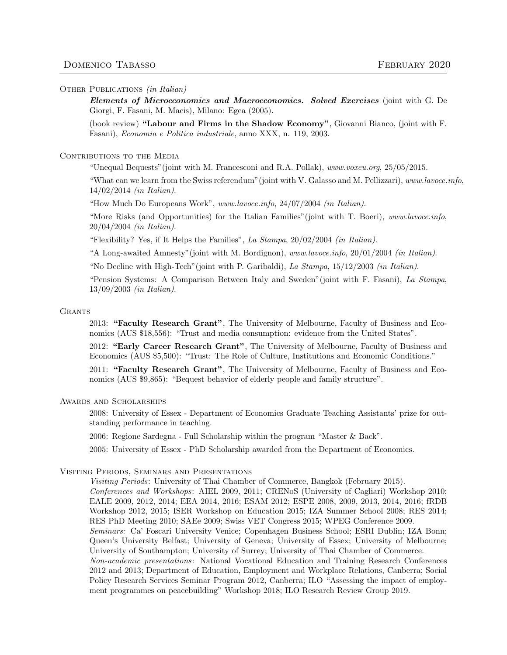### OTHER PUBLICATIONS *(in Italian)*

Elements of Microeconomics and Macroeconomics. Solved Exercises (joint with G. De Giorgi, F. Fasani, M. Macis), Milano: Egea (2005).

(book review) "Labour and Firms in the Shadow Economy", Giovanni Bianco, (joint with F. Fasani), Economia e Politica industriale, anno XXX, n. 119, 2003.

# CONTRIBUTIONS TO THE MEDIA

"Unequal Bequests"(joint with M. Francesconi and R.A. Pollak), www.voxeu.org, 25/05/2015.

"What can we learn from the Swiss referendum"(joint with V. Galasso and M. Pellizzari), www.lavoce.info, 14/02/2014 (in Italian).

"How Much Do Europeans Work", www.lavoce.info, 24/07/2004 (in Italian).

"More Risks (and Opportunities) for the Italian Families"(joint with T. Boeri), www.lavoce.info, 20/04/2004 (in Italian).

"Flexibility? Yes, if It Helps the Families", La Stampa,  $20/02/2004$  (in Italian).

"A Long-awaited Amnesty"(joint with M. Bordignon), www.lavoce.info, 20/01/2004 (in Italian).

"No Decline with High-Tech"(joint with P. Garibaldi), La Stampa, 15/12/2003 (in Italian).

"Pension Systems: A Comparison Between Italy and Sweden"(joint with F. Fasani), La Stampa, 13/09/2003 (in Italian).

### **GRANTS**

2013: "Faculty Research Grant", The University of Melbourne, Faculty of Business and Economics (AUS \$18,556): "Trust and media consumption: evidence from the United States".

2012: "Early Career Research Grant", The University of Melbourne, Faculty of Business and Economics (AUS \$5,500): "Trust: The Role of Culture, Institutions and Economic Conditions."

2011: "Faculty Research Grant", The University of Melbourne, Faculty of Business and Economics (AUS \$9,865): "Bequest behavior of elderly people and family structure".

# Awards and Scholarships

2008: University of Essex - Department of Economics Graduate Teaching Assistants' prize for outstanding performance in teaching.

2006: Regione Sardegna - Full Scholarship within the program "Master & Back".

2005: University of Essex - PhD Scholarship awarded from the Department of Economics.

## Visiting Periods, Seminars and Presentations

Visiting Periods: University of Thai Chamber of Commerce, Bangkok (February 2015). Conferences and Workshops: AIEL 2009, 2011; CRENoS (University of Cagliari) Workshop 2010; EALE 2009, 2012, 2014; EEA 2014, 2016; ESAM 2012; ESPE 2008, 2009, 2013, 2014, 2016; fRDB Workshop 2012, 2015; ISER Workshop on Education 2015; IZA Summer School 2008; RES 2014; RES PhD Meeting 2010; SAEe 2009; Swiss VET Congress 2015; WPEG Conference 2009. Seminars: Ca' Foscari University Venice; Copenhagen Business School; ESRI Dublin; IZA Bonn; Queen's University Belfast; University of Geneva; University of Essex; University of Melbourne; University of Southampton; University of Surrey; University of Thai Chamber of Commerce. Non-academic presentations: National Vocational Education and Training Research Conferences 2012 and 2013; Department of Education, Employment and Workplace Relations, Canberra; Social Policy Research Services Seminar Program 2012, Canberra; ILO "Assessing the impact of employment programmes on peacebuilding" Workshop 2018; ILO Research Review Group 2019.